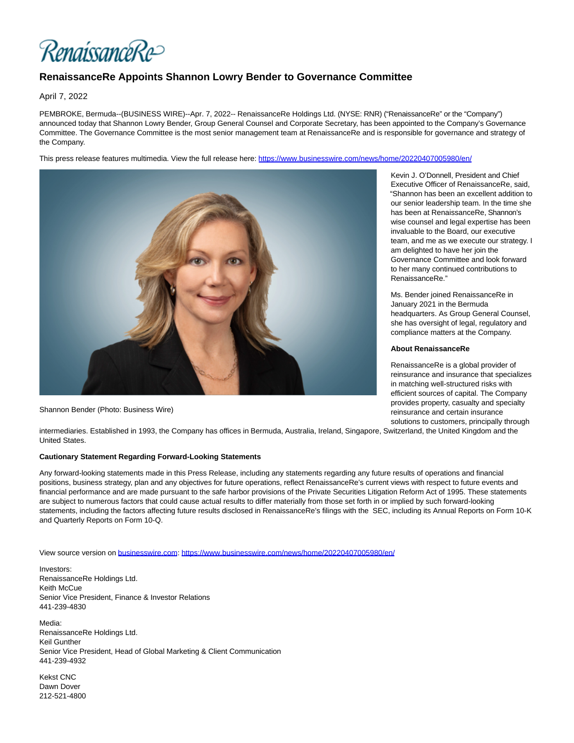RenaissanceRe>

## **RenaissanceRe Appoints Shannon Lowry Bender to Governance Committee**

April 7, 2022

PEMBROKE, Bermuda--(BUSINESS WIRE)--Apr. 7, 2022-- RenaissanceRe Holdings Ltd. (NYSE: RNR) ("RenaissanceRe" or the "Company") announced today that Shannon Lowry Bender, Group General Counsel and Corporate Secretary, has been appointed to the Company's Governance Committee. The Governance Committee is the most senior management team at RenaissanceRe and is responsible for governance and strategy of the Company.

This press release features multimedia. View the full release here:<https://www.businesswire.com/news/home/20220407005980/en/>



Shannon Bender (Photo: Business Wire)

Kevin J. O'Donnell, President and Chief Executive Officer of RenaissanceRe, said, "Shannon has been an excellent addition to our senior leadership team. In the time she has been at RenaissanceRe, Shannon's wise counsel and legal expertise has been invaluable to the Board, our executive team, and me as we execute our strategy. I am delighted to have her join the Governance Committee and look forward to her many continued contributions to RenaissanceRe."

Ms. Bender joined RenaissanceRe in January 2021 in the Bermuda headquarters. As Group General Counsel, she has oversight of legal, regulatory and compliance matters at the Company.

## **About RenaissanceRe**

RenaissanceRe is a global provider of reinsurance and insurance that specializes in matching well-structured risks with efficient sources of capital. The Company provides property, casualty and specialty reinsurance and certain insurance solutions to customers, principally through

intermediaries. Established in 1993, the Company has offices in Bermuda, Australia, Ireland, Singapore, Switzerland, the United Kingdom and the United States.

## **Cautionary Statement Regarding Forward-Looking Statements**

Any forward-looking statements made in this Press Release, including any statements regarding any future results of operations and financial positions, business strategy, plan and any objectives for future operations, reflect RenaissanceRe's current views with respect to future events and financial performance and are made pursuant to the safe harbor provisions of the Private Securities Litigation Reform Act of 1995. These statements are subject to numerous factors that could cause actual results to differ materially from those set forth in or implied by such forward-looking statements, including the factors affecting future results disclosed in RenaissanceRe's filings with the SEC, including its Annual Reports on Form 10-K and Quarterly Reports on Form 10-Q.

View source version on [businesswire.com:](http://businesswire.com/)<https://www.businesswire.com/news/home/20220407005980/en/>

Investors: RenaissanceRe Holdings Ltd. Keith McCue Senior Vice President, Finance & Investor Relations 441-239-4830

Media: RenaissanceRe Holdings Ltd. Keil Gunther Senior Vice President, Head of Global Marketing & Client Communication 441-239-4932

Kekst CNC Dawn Dover 212-521-4800